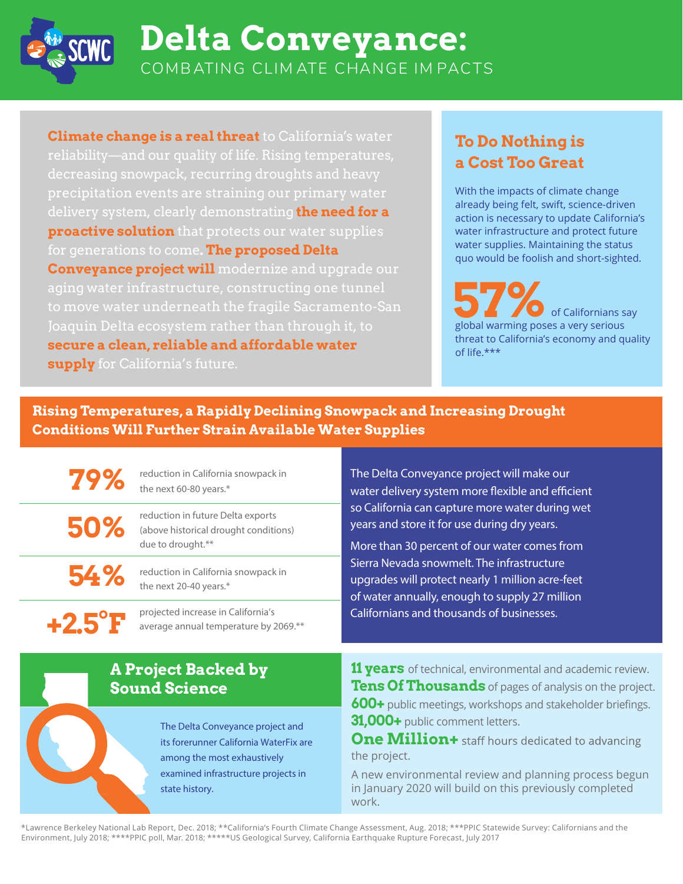

# **Delta Conveyance:** COMB ATING CLIM ATE CHANGE IM PACTS

**Climate change is a real threat** to California's water reliability—and our quality of life. Rising temperatures, delivery system, clearly demonstrating **the need for a proactive solution** that protects our water supplies for generations to come **The proposed Delta Conveyance project will** modernize and upgrade our Joaquin Delta ecosystem rather than through it, to **secure a clean, reliable and affordable water supply** for California's future.

#### **To Do Nothing is a Cost Too Great**

With the impacts of climate change already being felt, swift, science-driven action is necessary to update California's water infrastructure and protect future water supplies. Maintaining the status quo would be foolish and short-sighted.

**57%** of Californians say global warming poses a very serious threat to California's economy and quality of life.\*\*\*

**Rising Temperatures, a Rapidly Declining Snowpack and Increasing Drought Conditions Will Further Strain Available Water Supplies**

reduction in California snowpack in the next 60-80 years.\* **79%**

reduction in future Delta exports (above historical drought conditions) due to drought.\*\* **50%**

**54%**

**+2.5°F**

reduction in California snowpack in the next 20-40 years.\*

projected increase in California's average annual temperature by 2069.\*\* The Delta Conveyance project will make our water delivery system more flexible and efficient so California can capture more water during wet years and store it for use during dry years.

More than 30 percent of our water comes from Sierra Nevada snowmelt. The infrastructure upgrades will protect nearly 1 million acre-feet of water annually, enough to supply 27 million Californians and thousands of businesses.

**A Project Backed by Sound Science**

> The Delta Conveyance project and its forerunner California WaterFix are among the most exhaustively examined infrastructure projects in state history.

**11 years** of technical, environmental and academic review. **Tens Of Thousands** of pages of analysis on the project. **600+** public meetings, workshops and stakeholder briefings. **31,000+** public comment letters.

**One Million+** staff hours dedicated to advancing the project.

A new environmental review and planning process begun in January 2020 will build on this previously completed work.

\*Lawrence Berkeley National Lab Report, Dec. 2018; \*\*California's Fourth Climate Change Assessment, Aug. 2018; \*\*\*PPIC Statewide Survey: Californians and the Environment, July 2018; \*\*\*\*PPIC poll, Mar. 2018; \*\*\*\*\*US Geological Survey, California Earthquake Rupture Forecast, July 2017